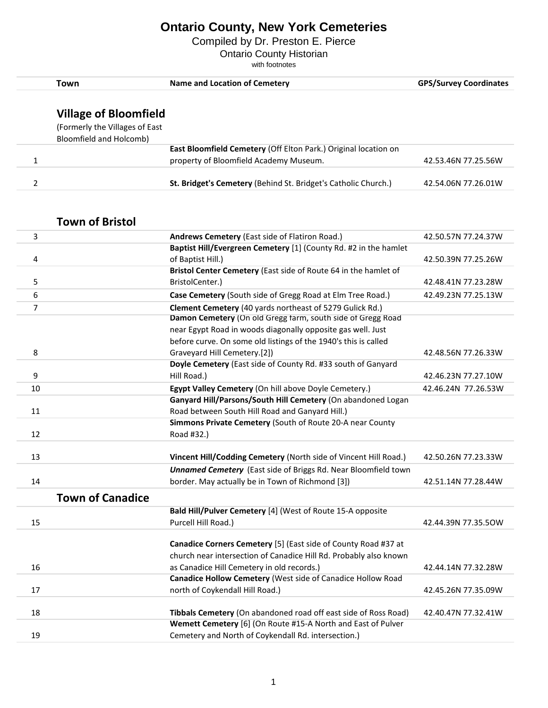Compiled by Dr. Preston E. Pierce

Ontario County Historian

|                | <b>Town</b>                    | <b>Name and Location of Cemetery</b>                                                                                            | <b>GPS/Survey Coordinates</b> |
|----------------|--------------------------------|---------------------------------------------------------------------------------------------------------------------------------|-------------------------------|
|                |                                |                                                                                                                                 |                               |
|                | <b>Village of Bloomfield</b>   |                                                                                                                                 |                               |
|                | (Formerly the Villages of East |                                                                                                                                 |                               |
|                | Bloomfield and Holcomb)        |                                                                                                                                 |                               |
|                |                                | East Bloomfield Cemetery (Off Elton Park.) Original location on                                                                 |                               |
| 1              |                                | property of Bloomfield Academy Museum.                                                                                          | 42.53.46N 77.25.56W           |
|                |                                |                                                                                                                                 |                               |
| 2              |                                | St. Bridget's Cemetery (Behind St. Bridget's Catholic Church.)                                                                  | 42.54.06N 77.26.01W           |
|                |                                |                                                                                                                                 |                               |
|                |                                |                                                                                                                                 |                               |
|                | <b>Town of Bristol</b>         |                                                                                                                                 |                               |
| 3              |                                | Andrews Cemetery (East side of Flatiron Road.)                                                                                  | 42.50.57N 77.24.37W           |
|                |                                | Baptist Hill/Evergreen Cemetery [1] (County Rd. #2 in the hamlet                                                                |                               |
| 4              |                                | of Baptist Hill.)                                                                                                               | 42.50.39N 77.25.26W           |
|                |                                | Bristol Center Cemetery (East side of Route 64 in the hamlet of                                                                 |                               |
| 5              |                                | BristolCenter.)                                                                                                                 | 42.48.41N 77.23.28W           |
| 6              |                                | Case Cemetery (South side of Gregg Road at Elm Tree Road.)                                                                      | 42.49.23N 77.25.13W           |
| $\overline{7}$ |                                | Clement Cemetery (40 yards northeast of 5279 Gulick Rd.)                                                                        |                               |
|                |                                | Damon Cemetery (On old Gregg farm, south side of Gregg Road                                                                     |                               |
|                |                                | near Egypt Road in woods diagonally opposite gas well. Just                                                                     |                               |
|                |                                | before curve. On some old listings of the 1940's this is called                                                                 |                               |
| 8              |                                | Graveyard Hill Cemetery.[2])                                                                                                    | 42.48.56N 77.26.33W           |
| 9              |                                | Doyle Cemetery (East side of County Rd. #33 south of Ganyard<br>Hill Road.)                                                     | 42.46.23N 77.27.10W           |
|                |                                |                                                                                                                                 |                               |
| 10             |                                | Egypt Valley Cemetery (On hill above Doyle Cemetery.)<br>Ganyard Hill/Parsons/South Hill Cemetery (On abandoned Logan           | 42.46.24N 77.26.53W           |
| 11             |                                | Road between South Hill Road and Ganyard Hill.)                                                                                 |                               |
|                |                                | Simmons Private Cemetery (South of Route 20-A near County                                                                       |                               |
| 12             |                                | Road #32.)                                                                                                                      |                               |
|                |                                |                                                                                                                                 |                               |
| 13             |                                | Vincent Hill/Codding Cemetery (North side of Vincent Hill Road.)                                                                | 42.50.26N 77.23.33W           |
|                |                                | <b>Unnamed Cemetery</b> (East side of Briggs Rd. Near Bloomfield town                                                           |                               |
| 14             |                                | border. May actually be in Town of Richmond [3])                                                                                | 42.51.14N 77.28.44W           |
|                | <b>Town of Canadice</b>        |                                                                                                                                 |                               |
|                |                                | Bald Hill/Pulver Cemetery [4] (West of Route 15-A opposite                                                                      |                               |
| 15             |                                | Purcell Hill Road.)                                                                                                             | 42.44.39N 77.35.50W           |
|                |                                |                                                                                                                                 |                               |
|                |                                | Canadice Corners Cemetery [5] (East side of County Road #37 at                                                                  |                               |
|                |                                | church near intersection of Canadice Hill Rd. Probably also known                                                               |                               |
| 16             |                                | as Canadice Hill Cemetery in old records.)                                                                                      | 42.44.14N 77.32.28W           |
|                |                                | Canadice Hollow Cemetery (West side of Canadice Hollow Road                                                                     |                               |
| 17             |                                | north of Coykendall Hill Road.)                                                                                                 | 42.45.26N 77.35.09W           |
|                |                                |                                                                                                                                 |                               |
| 18             |                                | Tibbals Cemetery (On abandoned road off east side of Ross Road)<br>Wemett Cemetery [6] (On Route #15-A North and East of Pulver | 42.40.47N 77.32.41W           |
| 19             |                                | Cemetery and North of Coykendall Rd. intersection.)                                                                             |                               |
|                |                                |                                                                                                                                 |                               |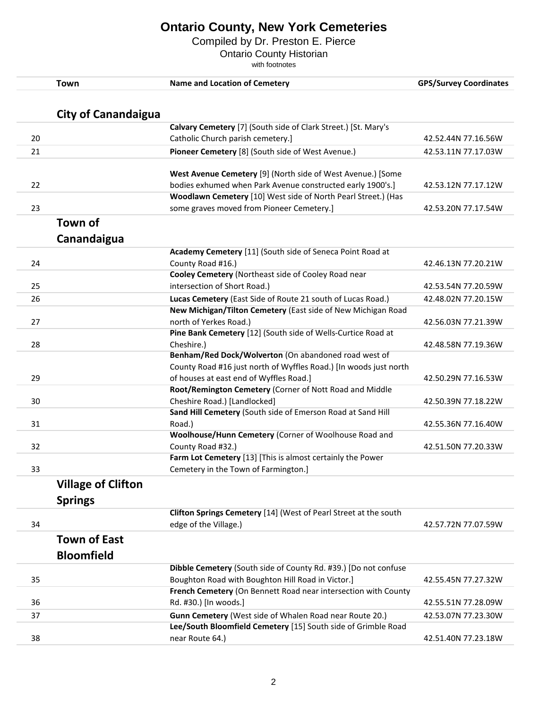Compiled by Dr. Preston E. Pierce

Ontario County Historian

|    | <b>Town</b>                | <b>Name and Location of Cemetery</b>                              | <b>GPS/Survey Coordinates</b> |
|----|----------------------------|-------------------------------------------------------------------|-------------------------------|
|    |                            |                                                                   |                               |
|    | <b>City of Canandaigua</b> | Calvary Cemetery [7] (South side of Clark Street.) [St. Mary's    |                               |
| 20 |                            | Catholic Church parish cemetery.]                                 | 42.52.44N 77.16.56W           |
|    |                            |                                                                   |                               |
| 21 |                            | Pioneer Cemetery [8] (South side of West Avenue.)                 | 42.53.11N 77.17.03W           |
|    |                            | West Avenue Cemetery [9] (North side of West Avenue.) [Some       |                               |
| 22 |                            | bodies exhumed when Park Avenue constructed early 1900's.]        | 42.53.12N 77.17.12W           |
|    |                            | Woodlawn Cemetery [10] West side of North Pearl Street.) (Has     |                               |
| 23 |                            | some graves moved from Pioneer Cemetery.]                         | 42.53.20N 77.17.54W           |
|    | Town of                    |                                                                   |                               |
|    | Canandaigua                |                                                                   |                               |
|    |                            | Academy Cemetery [11] (South side of Seneca Point Road at         |                               |
| 24 |                            | County Road #16.)                                                 | 42.46.13N 77.20.21W           |
|    |                            | Cooley Cemetery (Northeast side of Cooley Road near               |                               |
| 25 |                            | intersection of Short Road.)                                      | 42.53.54N 77.20.59W           |
| 26 |                            | Lucas Cemetery (East Side of Route 21 south of Lucas Road.)       | 42.48.02N 77.20.15W           |
|    |                            | New Michigan/Tilton Cemetery (East side of New Michigan Road      |                               |
| 27 |                            | north of Yerkes Road.)                                            | 42.56.03N 77.21.39W           |
|    |                            | Pine Bank Cemetery [12] (South side of Wells-Curtice Road at      |                               |
| 28 |                            | Cheshire.)                                                        | 42.48.58N 77.19.36W           |
|    |                            | Benham/Red Dock/Wolverton (On abandoned road west of              |                               |
|    |                            | County Road #16 just north of Wyffles Road.) [In woods just north |                               |
| 29 |                            | of houses at east end of Wyffles Road.]                           | 42.50.29N 77.16.53W           |
|    |                            | Root/Remington Cemetery (Corner of Nott Road and Middle           |                               |
| 30 |                            | Cheshire Road.) [Landlocked]                                      | 42.50.39N 77.18.22W           |
|    |                            | Sand Hill Cemetery (South side of Emerson Road at Sand Hill       |                               |
| 31 |                            | Road.)                                                            | 42.55.36N 77.16.40W           |
|    |                            | Woolhouse/Hunn Cemetery (Corner of Woolhouse Road and             |                               |
| 32 |                            | County Road #32.)                                                 | 42.51.50N 77.20.33W           |
|    |                            | Farm Lot Cemetery [13] [This is almost certainly the Power        |                               |
| 33 |                            | Cemetery in the Town of Farmington.]                              |                               |
|    | <b>Village of Clifton</b>  |                                                                   |                               |
|    | <b>Springs</b>             |                                                                   |                               |
|    |                            | Clifton Springs Cemetery [14] (West of Pearl Street at the south  |                               |
| 34 |                            | edge of the Village.)                                             | 42.57.72N 77.07.59W           |
|    | <b>Town of East</b>        |                                                                   |                               |
|    | <b>Bloomfield</b>          |                                                                   |                               |
|    |                            | Dibble Cemetery (South side of County Rd. #39.) [Do not confuse   |                               |
| 35 |                            | Boughton Road with Boughton Hill Road in Victor.]                 | 42.55.45N 77.27.32W           |
|    |                            | French Cemetery (On Bennett Road near intersection with County    |                               |
| 36 |                            | Rd. #30.) [In woods.]                                             | 42.55.51N 77.28.09W           |
| 37 |                            | Gunn Cemetery (West side of Whalen Road near Route 20.)           | 42.53.07N 77.23.30W           |
|    |                            | Lee/South Bloomfield Cemetery [15] South side of Grimble Road     |                               |
| 38 |                            | near Route 64.)                                                   | 42.51.40N 77.23.18W           |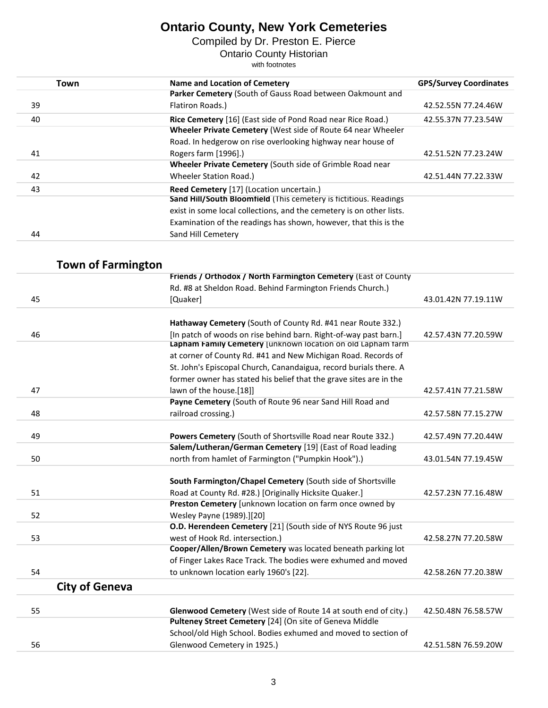Compiled by Dr. Preston E. Pierce

Ontario County Historian

| Town | Name and Location of Cemetery                                        | <b>GPS/Survey Coordinates</b> |
|------|----------------------------------------------------------------------|-------------------------------|
|      | Parker Cemetery (South of Gauss Road between Oakmount and            |                               |
| 39   | Flatiron Roads.)                                                     | 42.52.55N 77.24.46W           |
| 40   | Rice Cemetery [16] (East side of Pond Road near Rice Road.)          | 42.55.37N 77.23.54W           |
|      | Wheeler Private Cemetery (West side of Route 64 near Wheeler         |                               |
|      | Road. In hedgerow on rise overlooking highway near house of          |                               |
| 41   | Rogers farm [1996].)                                                 | 42.51.52N 77.23.24W           |
|      | Wheeler Private Cemetery (South side of Grimble Road near            |                               |
| 42   | Wheeler Station Road.)                                               | 42.51.44N 77.22.33W           |
| 43   | Reed Cemetery [17] (Location uncertain.)                             |                               |
|      | Sand Hill/South Bloomfield (This cemetery is fictitious. Readings    |                               |
|      | exist in some local collections, and the cemetery is on other lists. |                               |
|      | Examination of the readings has shown, however, that this is the     |                               |
| 44   | Sand Hill Cemetery                                                   |                               |

| <b>Town of Farmington</b> |                                                                                                                                 |                     |
|---------------------------|---------------------------------------------------------------------------------------------------------------------------------|---------------------|
|                           | Friends / Orthodox / North Farmington Cemetery (East of County                                                                  |                     |
|                           | Rd. #8 at Sheldon Road. Behind Farmington Friends Church.)                                                                      |                     |
| 45                        | [Quaker]                                                                                                                        | 43.01.42N 77.19.11W |
|                           |                                                                                                                                 |                     |
| 46                        | Hathaway Cemetery (South of County Rd. #41 near Route 332.)<br>[In patch of woods on rise behind barn. Right-of-way past barn.] | 42.57.43N 77.20.59W |
|                           | Lapham Family Cemetery [unknown location on old Lapham farm                                                                     |                     |
|                           | at corner of County Rd. #41 and New Michigan Road. Records of                                                                   |                     |
|                           | St. John's Episcopal Church, Canandaigua, record burials there. A                                                               |                     |
|                           | former owner has stated his belief that the grave sites are in the                                                              |                     |
| 47                        | lawn of the house.[18]]                                                                                                         | 42.57.41N 77.21.58W |
|                           | Payne Cemetery (South of Route 96 near Sand Hill Road and                                                                       |                     |
| 48                        | railroad crossing.)                                                                                                             | 42.57.58N 77.15.27W |
|                           |                                                                                                                                 |                     |
| 49                        | Powers Cemetery (South of Shortsville Road near Route 332.)                                                                     | 42.57.49N 77.20.44W |
|                           | Salem/Lutheran/German Cemetery [19] (East of Road leading                                                                       |                     |
| 50                        | north from hamlet of Farmington ("Pumpkin Hook").)                                                                              | 43.01.54N 77.19.45W |
|                           | South Farmington/Chapel Cemetery (South side of Shortsville                                                                     |                     |
| 51                        | Road at County Rd. #28.) [Originally Hicksite Quaker.]                                                                          | 42.57.23N 77.16.48W |
|                           | Preston Cemetery [unknown location on farm once owned by                                                                        |                     |
| 52                        | Wesley Payne (1989).][20]                                                                                                       |                     |
|                           | O.D. Herendeen Cemetery [21] (South side of NYS Route 96 just                                                                   |                     |
| 53                        | west of Hook Rd. intersection.)                                                                                                 | 42.58.27N 77.20.58W |
|                           | Cooper/Allen/Brown Cemetery was located beneath parking lot                                                                     |                     |
|                           | of Finger Lakes Race Track. The bodies were exhumed and moved                                                                   |                     |
| 54                        | to unknown location early 1960's [22].                                                                                          | 42.58.26N 77.20.38W |
| <b>City of Geneva</b>     |                                                                                                                                 |                     |
|                           |                                                                                                                                 |                     |
| 55                        | Glenwood Cemetery (West side of Route 14 at south end of city.)                                                                 | 42.50.48N 76.58.57W |
|                           | Pulteney Street Cemetery [24] (On site of Geneva Middle                                                                         |                     |
|                           | School/old High School. Bodies exhumed and moved to section of                                                                  |                     |
| 56                        | Glenwood Cemetery in 1925.)                                                                                                     | 42.51.58N 76.59.20W |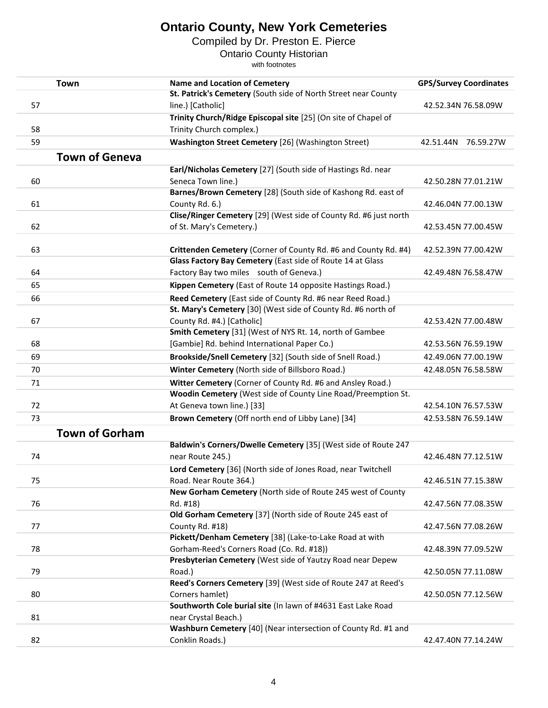Compiled by Dr. Preston E. Pierce

Ontario County Historian

| <b>Town</b>           | <b>Name and Location of Cemetery</b>                                     | <b>GPS/Survey Coordinates</b> |
|-----------------------|--------------------------------------------------------------------------|-------------------------------|
|                       | St. Patrick's Cemetery (South side of North Street near County           |                               |
| 57                    | line.) [Catholic]                                                        | 42.52.34N 76.58.09W           |
|                       | Trinity Church/Ridge Episcopal site [25] (On site of Chapel of           |                               |
| 58                    | Trinity Church complex.)                                                 |                               |
| 59                    | Washington Street Cemetery [26] (Washington Street)                      | 42.51.44N 76.59.27W           |
| <b>Town of Geneva</b> |                                                                          |                               |
|                       | Earl/Nicholas Cemetery [27] (South side of Hastings Rd. near             |                               |
| 60                    | Seneca Town line.)                                                       | 42.50.28N 77.01.21W           |
|                       | Barnes/Brown Cemetery [28] (South side of Kashong Rd. east of            |                               |
| 61                    | County Rd. 6.)                                                           | 42.46.04N 77.00.13W           |
|                       | Clise/Ringer Cemetery [29] (West side of County Rd. #6 just north        |                               |
| 62                    | of St. Mary's Cemetery.)                                                 | 42.53.45N 77.00.45W           |
|                       |                                                                          |                               |
| 63                    | Crittenden Cemetery (Corner of County Rd. #6 and County Rd. #4)          | 42.52.39N 77.00.42W           |
|                       | Glass Factory Bay Cemetery (East side of Route 14 at Glass               |                               |
| 64                    | Factory Bay two miles south of Geneva.)                                  | 42.49.48N 76.58.47W           |
| 65                    | Kippen Cemetery (East of Route 14 opposite Hastings Road.)               |                               |
| 66                    | Reed Cemetery (East side of County Rd. #6 near Reed Road.)               |                               |
|                       | St. Mary's Cemetery [30] (West side of County Rd. #6 north of            |                               |
| 67                    | County Rd. #4.) [Catholic]                                               | 42.53.42N 77.00.48W           |
|                       | Smith Cemetery [31] (West of NYS Rt. 14, north of Gambee                 |                               |
| 68                    | [Gambie] Rd. behind International Paper Co.)                             | 42.53.56N 76.59.19W           |
| 69                    | Brookside/Snell Cemetery [32] (South side of Snell Road.)                | 42.49.06N 77.00.19W           |
| 70                    | Winter Cemetery (North side of Billsboro Road.)                          | 42.48.05N 76.58.58W           |
| 71                    | Witter Cemetery (Corner of County Rd. #6 and Ansley Road.)               |                               |
|                       | Woodin Cemetery (West side of County Line Road/Preemption St.            |                               |
| 72                    | At Geneva town line.) [33]                                               | 42.54.10N 76.57.53W           |
| 73                    | Brown Cemetery (Off north end of Libby Lane) [34]                        | 42.53.58N 76.59.14W           |
|                       |                                                                          |                               |
| <b>Town of Gorham</b> |                                                                          |                               |
|                       | Baldwin's Corners/Dwelle Cemetery [35] (West side of Route 247           |                               |
| 74                    | near Route 245.)                                                         | 42.46.48N 77.12.51W           |
|                       | Lord Cemetery [36] (North side of Jones Road, near Twitchell             |                               |
| 75                    | Road. Near Route 364.)                                                   | 42.46.51N 77.15.38W           |
|                       | New Gorham Cemetery (North side of Route 245 west of County              |                               |
| 76                    | Rd. #18)                                                                 | 42.47.56N 77.08.35W           |
|                       | Old Gorham Cemetery [37] (North side of Route 245 east of                |                               |
| 77                    | County Rd. #18)                                                          | 42.47.56N 77.08.26W           |
|                       | Pickett/Denham Cemetery [38] (Lake-to-Lake Road at with                  |                               |
| 78                    | Gorham-Reed's Corners Road (Co. Rd. #18))                                | 42.48.39N 77.09.52W           |
|                       | Presbyterian Cemetery (West side of Yautzy Road near Depew               |                               |
| 79                    | Road.)<br>Reed's Corners Cemetery [39] (West side of Route 247 at Reed's | 42.50.05N 77.11.08W           |
| 80                    | Corners hamlet)                                                          | 42.50.05N 77.12.56W           |
|                       | Southworth Cole burial site (In lawn of #4631 East Lake Road             |                               |
| 81                    | near Crystal Beach.)                                                     |                               |
|                       | Washburn Cemetery [40] (Near intersection of County Rd. #1 and           |                               |
| 82                    | Conklin Roads.)                                                          | 42.47.40N 77.14.24W           |
|                       |                                                                          |                               |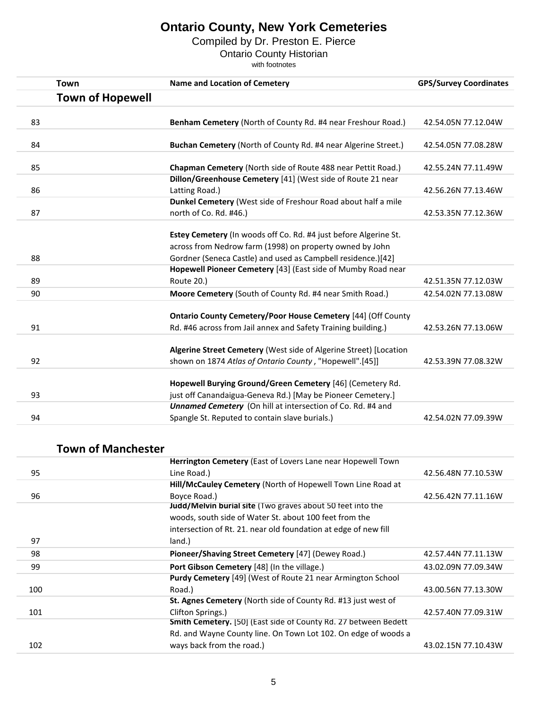Compiled by Dr. Preston E. Pierce

Ontario County Historian

with footnotes

| <b>Town</b>             | <b>Name and Location of Cemetery</b>                                                                                     | <b>GPS/Survey Coordinates</b> |
|-------------------------|--------------------------------------------------------------------------------------------------------------------------|-------------------------------|
| <b>Town of Hopewell</b> |                                                                                                                          |                               |
| 83                      | Benham Cemetery (North of County Rd. #4 near Freshour Road.)                                                             | 42.54.05N 77.12.04W           |
| 84                      | Buchan Cemetery (North of County Rd. #4 near Algerine Street.)                                                           | 42.54.05N 77.08.28W           |
| 85                      | Chapman Cemetery (North side of Route 488 near Pettit Road.)                                                             | 42.55.24N 77.11.49W           |
| 86                      | Dillon/Greenhouse Cemetery [41] (West side of Route 21 near<br>Latting Road.)                                            | 42.56.26N 77.13.46W           |
| 87                      | Dunkel Cemetery (West side of Freshour Road about half a mile<br>north of Co. Rd. #46.)                                  | 42.53.35N 77.12.36W           |
|                         | Estey Cemetery (In woods off Co. Rd. #4 just before Algerine St.                                                         |                               |
| 88                      | across from Nedrow farm (1998) on property owned by John<br>Gordner (Seneca Castle) and used as Campbell residence.)[42] |                               |
|                         | Hopewell Pioneer Cemetery [43] (East side of Mumby Road near                                                             |                               |
| 89                      | <b>Route 20.)</b>                                                                                                        | 42.51.35N 77.12.03W           |
| 90                      | Moore Cemetery (South of County Rd. #4 near Smith Road.)                                                                 | 42.54.02N 77.13.08W           |
|                         | <b>Ontario County Cemetery/Poor House Cemetery [44] (Off County</b>                                                      |                               |
| 91                      | Rd. #46 across from Jail annex and Safety Training building.)                                                            | 42.53.26N 77.13.06W           |
|                         | Algerine Street Cemetery (West side of Algerine Street) [Location                                                        |                               |
| 92                      | shown on 1874 Atlas of Ontario County, "Hopewell".[45]]                                                                  | 42.53.39N 77.08.32W           |
|                         | Hopewell Burying Ground/Green Cemetery [46] (Cemetery Rd.                                                                |                               |
| 93                      | just off Canandaigua-Geneva Rd.) [May be Pioneer Cemetery.]                                                              |                               |
|                         | Unnamed Cemetery (On hill at intersection of Co. Rd. #4 and                                                              |                               |
| 94                      | Spangle St. Reputed to contain slave burials.)                                                                           | 42.54.02N 77.09.39W           |

#### **Town of Manchester**

|     | Herrington Cemetery (East of Lovers Lane near Hopewell Town        |                     |
|-----|--------------------------------------------------------------------|---------------------|
| 95  | Line Road.)                                                        | 42.56.48N 77.10.53W |
|     | Hill/McCauley Cemetery (North of Hopewell Town Line Road at        |                     |
| 96  | Boyce Road.)                                                       | 42.56.42N 77.11.16W |
|     | Judd/Melvin burial site (Two graves about 50 feet into the         |                     |
|     | woods, south side of Water St. about 100 feet from the             |                     |
|     | intersection of Rt. 21. near old foundation at edge of new fill    |                     |
| 97  | land.)                                                             |                     |
| 98  | Pioneer/Shaving Street Cemetery [47] (Dewey Road.)                 | 42.57.44N 77.11.13W |
| 99  | Port Gibson Cemetery [48] (In the village.)                        | 43.02.09N 77.09.34W |
|     | <b>Purdy Cemetery</b> [49] (West of Route 21 near Armington School |                     |
| 100 | Road.)                                                             | 43.00.56N 77.13.30W |
|     | St. Agnes Cemetery (North side of County Rd. #13 just west of      |                     |
| 101 | Clifton Springs.)                                                  | 42.57.40N 77.09.31W |
|     | Smith Cemetery. [50] (East side of County Rd. 27 between Bedett    |                     |
|     | Rd. and Wayne County line. On Town Lot 102. On edge of woods a     |                     |
| 102 | ways back from the road.)                                          | 43.02.15N 77.10.43W |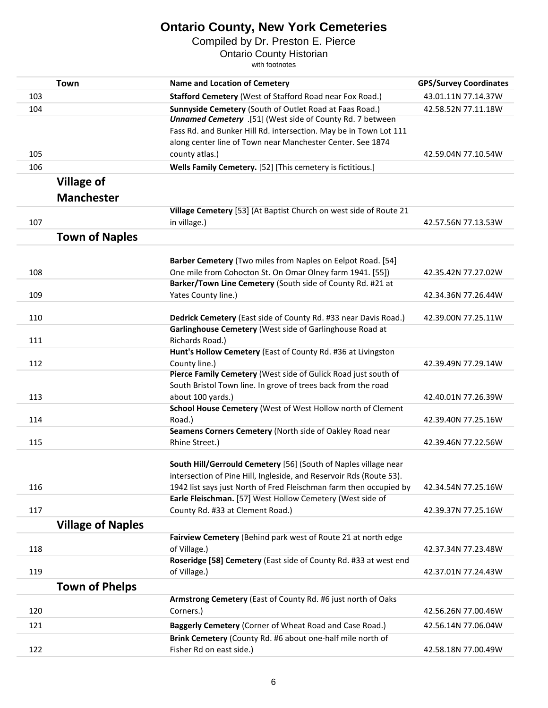Compiled by Dr. Preston E. Pierce

Ontario County Historian

|     | Town                     | <b>Name and Location of Cemetery</b>                                                                                                   | <b>GPS/Survey Coordinates</b> |
|-----|--------------------------|----------------------------------------------------------------------------------------------------------------------------------------|-------------------------------|
| 103 |                          | <b>Stafford Cemetery (West of Stafford Road near Fox Road.)</b>                                                                        | 43.01.11N 77.14.37W           |
| 104 |                          | Sunnyside Cemetery (South of Outlet Road at Faas Road.)<br>Unnamed Cemetery .[51] (West side of County Rd. 7 between                   | 42.58.52N 77.11.18W           |
|     |                          | Fass Rd. and Bunker Hill Rd. intersection. May be in Town Lot 111                                                                      |                               |
|     |                          | along center line of Town near Manchester Center. See 1874                                                                             |                               |
| 105 |                          | county atlas.)                                                                                                                         | 42.59.04N 77.10.54W           |
| 106 |                          | Wells Family Cemetery. [52] [This cemetery is fictitious.]                                                                             |                               |
|     |                          |                                                                                                                                        |                               |
|     | <b>Village of</b>        |                                                                                                                                        |                               |
|     | <b>Manchester</b>        |                                                                                                                                        |                               |
|     |                          | Village Cemetery [53] (At Baptist Church on west side of Route 21                                                                      |                               |
| 107 |                          | in village.)                                                                                                                           | 42.57.56N 77.13.53W           |
|     | <b>Town of Naples</b>    |                                                                                                                                        |                               |
|     |                          | Barber Cemetery (Two miles from Naples on Eelpot Road. [54]                                                                            |                               |
| 108 |                          | One mile from Cohocton St. On Omar Olney farm 1941. [55])                                                                              | 42.35.42N 77.27.02W           |
|     |                          | Barker/Town Line Cemetery (South side of County Rd. #21 at                                                                             |                               |
| 109 |                          | Yates County line.)                                                                                                                    | 42.34.36N 77.26.44W           |
|     |                          |                                                                                                                                        |                               |
| 110 |                          | Dedrick Cemetery (East side of County Rd. #33 near Davis Road.)                                                                        | 42.39.00N 77.25.11W           |
|     |                          | Garlinghouse Cemetery (West side of Garlinghouse Road at                                                                               |                               |
| 111 |                          | Richards Road.)                                                                                                                        |                               |
|     |                          | Hunt's Hollow Cemetery (East of County Rd. #36 at Livingston                                                                           |                               |
| 112 |                          | County line.)                                                                                                                          | 42.39.49N 77.29.14W           |
|     |                          | Pierce Family Cemetery (West side of Gulick Road just south of                                                                         |                               |
|     |                          | South Bristol Town line. In grove of trees back from the road                                                                          |                               |
| 113 |                          | about 100 yards.)                                                                                                                      | 42.40.01N 77.26.39W           |
|     |                          | School House Cemetery (West of West Hollow north of Clement                                                                            |                               |
| 114 |                          | Road.)                                                                                                                                 | 42.39.40N 77.25.16W           |
|     |                          | Seamens Corners Cemetery (North side of Oakley Road near                                                                               |                               |
| 115 |                          | Rhine Street.)                                                                                                                         | 42.39.46N 77.22.56W           |
|     |                          |                                                                                                                                        |                               |
|     |                          | South Hill/Gerrould Cemetery [56] (South of Naples village near<br>intersection of Pine Hill, Ingleside, and Reservoir Rds (Route 53). |                               |
| 116 |                          | 1942 list says just North of Fred Fleischman farm then occupied by                                                                     | 42.34.54N 77.25.16W           |
|     |                          | Earle Fleischman. [57] West Hollow Cemetery (West side of                                                                              |                               |
| 117 |                          | County Rd. #33 at Clement Road.)                                                                                                       | 42.39.37N 77.25.16W           |
|     |                          |                                                                                                                                        |                               |
|     | <b>Village of Naples</b> |                                                                                                                                        |                               |
|     |                          | Fairview Cemetery (Behind park west of Route 21 at north edge                                                                          |                               |
| 118 |                          | of Village.)                                                                                                                           | 42.37.34N 77.23.48W           |
|     |                          | Roseridge [58] Cemetery (East side of County Rd. #33 at west end                                                                       |                               |
| 119 |                          | of Village.)                                                                                                                           | 42.37.01N 77.24.43W           |
|     | <b>Town of Phelps</b>    |                                                                                                                                        |                               |
|     |                          | Armstrong Cemetery (East of County Rd. #6 just north of Oaks                                                                           |                               |
| 120 |                          | Corners.)                                                                                                                              | 42.56.26N 77.00.46W           |
| 121 |                          | Baggerly Cemetery (Corner of Wheat Road and Case Road.)                                                                                | 42.56.14N 77.06.04W           |
|     |                          | Brink Cemetery (County Rd. #6 about one-half mile north of                                                                             |                               |
| 122 |                          | Fisher Rd on east side.)                                                                                                               | 42.58.18N 77.00.49W           |
|     |                          |                                                                                                                                        |                               |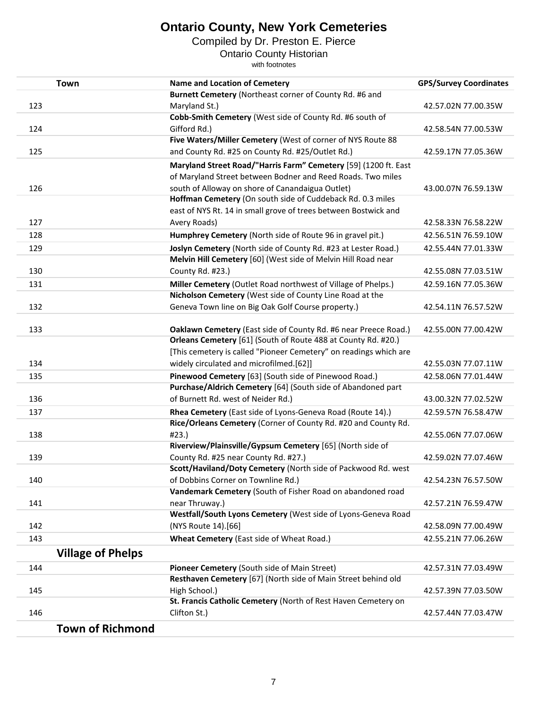Compiled by Dr. Preston E. Pierce

Ontario County Historian

| <b>Town</b>              | <b>Name and Location of Cemetery</b>                                                                          | <b>GPS/Survey Coordinates</b> |
|--------------------------|---------------------------------------------------------------------------------------------------------------|-------------------------------|
|                          | Burnett Cemetery (Northeast corner of County Rd. #6 and                                                       |                               |
| 123                      | Maryland St.)                                                                                                 | 42.57.02N 77.00.35W           |
|                          | Cobb-Smith Cemetery (West side of County Rd. #6 south of                                                      |                               |
| 124                      | Gifford Rd.)                                                                                                  | 42.58.54N 77.00.53W           |
|                          | Five Waters/Miller Cemetery (West of corner of NYS Route 88                                                   |                               |
| 125                      | and County Rd. #25 on County Rd. #25/Outlet Rd.)                                                              | 42.59.17N 77.05.36W           |
|                          | Maryland Street Road/"Harris Farm" Cemetery [59] (1200 ft. East                                               |                               |
|                          | of Maryland Street between Bodner and Reed Roads. Two miles                                                   |                               |
| 126                      | south of Alloway on shore of Canandaigua Outlet)                                                              | 43.00.07N 76.59.13W           |
|                          | Hoffman Cemetery (On south side of Cuddeback Rd. 0.3 miles                                                    |                               |
|                          | east of NYS Rt. 14 in small grove of trees between Bostwick and                                               |                               |
| 127                      | Avery Roads)                                                                                                  | 42.58.33N 76.58.22W           |
| 128                      | Humphrey Cemetery (North side of Route 96 in gravel pit.)                                                     | 42.56.51N 76.59.10W           |
| 129                      | Joslyn Cemetery (North side of County Rd. #23 at Lester Road.)                                                | 42.55.44N 77.01.33W           |
|                          | Melvin Hill Cemetery [60] (West side of Melvin Hill Road near                                                 |                               |
| 130                      | County Rd. #23.)                                                                                              | 42.55.08N 77.03.51W           |
| 131                      | Miller Cemetery (Outlet Road northwest of Village of Phelps.)                                                 | 42.59.16N 77.05.36W           |
|                          | Nicholson Cemetery (West side of County Line Road at the                                                      |                               |
| 132                      | Geneva Town line on Big Oak Golf Course property.)                                                            | 42.54.11N 76.57.52W           |
|                          |                                                                                                               |                               |
| 133                      | Oaklawn Cemetery (East side of County Rd. #6 near Preece Road.)                                               | 42.55.00N 77.00.42W           |
|                          | Orleans Cemetery [61] (South of Route 488 at County Rd. #20.)                                                 |                               |
|                          | [This cemetery is called "Pioneer Cemetery" on readings which are                                             |                               |
| 134                      | widely circulated and microfilmed.[62]]                                                                       | 42.55.03N 77.07.11W           |
| 135                      | Pinewood Cemetery [63] (South side of Pinewood Road.)                                                         | 42.58.06N 77.01.44W           |
|                          | Purchase/Aldrich Cemetery [64] (South side of Abandoned part                                                  |                               |
| 136                      | of Burnett Rd. west of Neider Rd.)                                                                            | 43.00.32N 77.02.52W           |
| 137                      | Rhea Cemetery (East side of Lyons-Geneva Road (Route 14).)                                                    | 42.59.57N 76.58.47W           |
|                          | Rice/Orleans Cemetery (Corner of County Rd. #20 and County Rd.                                                |                               |
| 138                      | #23.                                                                                                          | 42.55.06N 77.07.06W           |
|                          | Riverview/Plainsville/Gypsum Cemetery [65] (North side of                                                     |                               |
| 139                      | County Rd. #25 near County Rd. #27.)                                                                          | 42.59.02N 77.07.46W           |
|                          | Scott/Haviland/Doty Cemetery (North side of Packwood Rd. west                                                 |                               |
| 140                      | of Dobbins Corner on Townline Rd.)                                                                            | 42.54.23N 76.57.50W           |
|                          | Vandemark Cemetery (South of Fisher Road on abandoned road                                                    |                               |
| 141                      | near Thruway.)                                                                                                | 42.57.21N 76.59.47W           |
|                          | Westfall/South Lyons Cemetery (West side of Lyons-Geneva Road                                                 |                               |
| 142                      | (NYS Route 14).[66]                                                                                           | 42.58.09N 77.00.49W           |
| 143                      | Wheat Cemetery (East side of Wheat Road.)                                                                     | 42.55.21N 77.06.26W           |
| <b>Village of Phelps</b> |                                                                                                               |                               |
|                          |                                                                                                               |                               |
| 144                      | Pioneer Cemetery (South side of Main Street)<br>Resthaven Cemetery [67] (North side of Main Street behind old | 42.57.31N 77.03.49W           |
|                          |                                                                                                               |                               |
| 145                      | High School.)<br>St. Francis Catholic Cemetery (North of Rest Haven Cemetery on                               | 42.57.39N 77.03.50W           |
| 146                      | Clifton St.)                                                                                                  | 42.57.44N 77.03.47W           |
|                          |                                                                                                               |                               |
| <b>Town of Richmond</b>  |                                                                                                               |                               |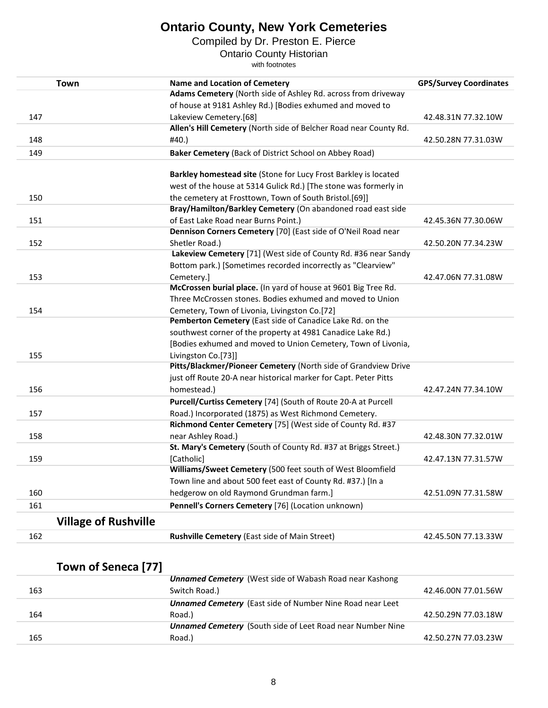Compiled by Dr. Preston E. Pierce

Ontario County Historian

with footnotes

| <b>Town</b>                 | <b>Name and Location of Cemetery</b>                              | <b>GPS/Survey Coordinates</b> |
|-----------------------------|-------------------------------------------------------------------|-------------------------------|
|                             | Adams Cemetery (North side of Ashley Rd. across from driveway     |                               |
|                             | of house at 9181 Ashley Rd.) [Bodies exhumed and moved to         |                               |
| 147                         | Lakeview Cemetery.[68]                                            | 42.48.31N 77.32.10W           |
|                             | Allen's Hill Cemetery (North side of Belcher Road near County Rd. |                               |
| 148                         | #40.)                                                             | 42.50.28N 77.31.03W           |
| 149                         | Baker Cemetery (Back of District School on Abbey Road)            |                               |
|                             | Barkley homestead site (Stone for Lucy Frost Barkley is located   |                               |
|                             | west of the house at 5314 Gulick Rd.) [The stone was formerly in  |                               |
| 150                         | the cemetery at Frosttown, Town of South Bristol.[69]]            |                               |
|                             | Bray/Hamilton/Barkley Cemetery (On abandoned road east side       |                               |
|                             |                                                                   |                               |
| 151                         | of East Lake Road near Burns Point.)                              | 42.45.36N 77.30.06W           |
|                             | Dennison Corners Cemetery [70] (East side of O'Neil Road near     |                               |
| 152                         | Shetler Road.)                                                    | 42.50.20N 77.34.23W           |
|                             | Lakeview Cemetery [71] (West side of County Rd. #36 near Sandy    |                               |
|                             | Bottom park.) [Sometimes recorded incorrectly as "Clearview"      |                               |
| 153                         | Cemetery.]                                                        | 42.47.06N 77.31.08W           |
|                             | McCrossen burial place. (In yard of house at 9601 Big Tree Rd.    |                               |
|                             | Three McCrossen stones. Bodies exhumed and moved to Union         |                               |
| 154                         | Cemetery, Town of Livonia, Livingston Co.[72]                     |                               |
|                             | Pemberton Cemetery (East side of Canadice Lake Rd. on the         |                               |
|                             | southwest corner of the property at 4981 Canadice Lake Rd.)       |                               |
|                             | [Bodies exhumed and moved to Union Cemetery, Town of Livonia,     |                               |
| 155                         | Livingston Co.[73]]                                               |                               |
|                             | Pitts/Blackmer/Pioneer Cemetery (North side of Grandview Drive    |                               |
|                             | just off Route 20-A near historical marker for Capt. Peter Pitts  |                               |
| 156                         | homestead.)                                                       | 42.47.24N 77.34.10W           |
|                             | Purcell/Curtiss Cemetery [74] (South of Route 20-A at Purcell     |                               |
| 157                         | Road.) Incorporated (1875) as West Richmond Cemetery.             |                               |
|                             | Richmond Center Cemetery [75] (West side of County Rd. #37        |                               |
| 158                         | near Ashley Road.)                                                | 42.48.30N 77.32.01W           |
|                             | St. Mary's Cemetery (South of County Rd. #37 at Briggs Street.)   |                               |
| 159                         | [Catholic]                                                        | 42.47.13N 77.31.57W           |
|                             | Williams/Sweet Cemetery (500 feet south of West Bloomfield        |                               |
|                             | Town line and about 500 feet east of County Rd. #37.) [In a       |                               |
| 160                         | hedgerow on old Raymond Grundman farm.]                           | 42.51.09N 77.31.58W           |
| 161                         | Pennell's Corners Cemetery [76] (Location unknown)                |                               |
| <b>Village of Rushville</b> |                                                                   |                               |
| 162                         | Rushville Cemetery (East side of Main Street)                     | 42.45.50N 77.13.33W           |
|                             |                                                                   |                               |
| Town of Seneca [77]         |                                                                   |                               |
|                             | <b>Unnamed Cemetery</b> (West side of Wabash Road near Kashong    |                               |
| 163                         | Switch Road.)                                                     | 42.46.00N 77.01.56W           |
|                             | <b>Unnamed Cemetery</b> (East side of Number Nine Road near Leet  |                               |
| 164                         | Road.)                                                            | 42.50.29N 77.03.18W           |
|                             | <b>Unnamed Cemetery</b> (South side of Leet Road near Number Nine |                               |

Road.) 42.50.27N 77.03.23W

165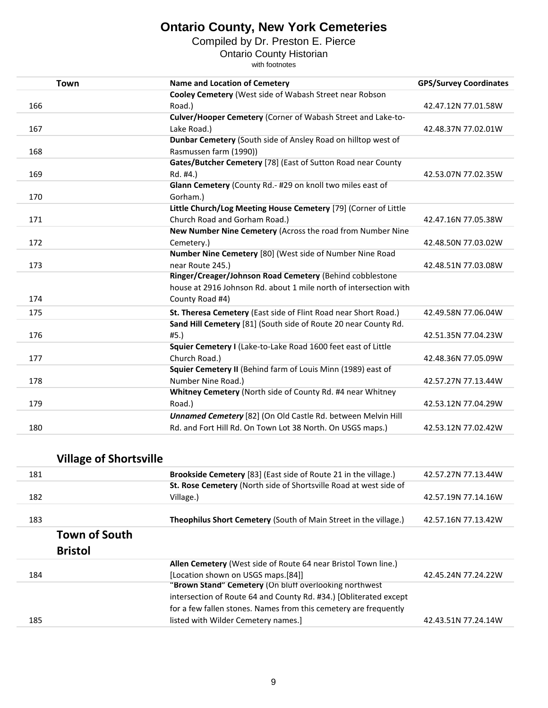Compiled by Dr. Preston E. Pierce

Ontario County Historian

| <b>Town</b> | <b>Name and Location of Cemetery</b>                              | <b>GPS/Survey Coordinates</b> |
|-------------|-------------------------------------------------------------------|-------------------------------|
|             | Cooley Cemetery (West side of Wabash Street near Robson           |                               |
| 166         | Road.)                                                            | 42.47.12N 77.01.58W           |
|             | Culver/Hooper Cemetery (Corner of Wabash Street and Lake-to-      |                               |
| 167         | Lake Road.)                                                       | 42.48.37N 77.02.01W           |
|             | Dunbar Cemetery (South side of Ansley Road on hilltop west of     |                               |
| 168         | Rasmussen farm (1990))                                            |                               |
|             | Gates/Butcher Cemetery [78] (East of Sutton Road near County      |                               |
| 169         | Rd. #4.)                                                          | 42.53.07N 77.02.35W           |
|             | Glann Cemetery (County Rd.- #29 on knoll two miles east of        |                               |
| 170         | Gorham.)                                                          |                               |
|             | Little Church/Log Meeting House Cemetery [79] (Corner of Little   |                               |
| 171         | Church Road and Gorham Road.)                                     | 42.47.16N 77.05.38W           |
|             | New Number Nine Cemetery (Across the road from Number Nine        |                               |
| 172         | Cemetery.)                                                        | 42.48.50N 77.03.02W           |
|             | Number Nine Cemetery [80] (West side of Number Nine Road          |                               |
| 173         | near Route 245.)                                                  | 42.48.51N 77.03.08W           |
|             | Ringer/Creager/Johnson Road Cemetery (Behind cobblestone          |                               |
|             | house at 2916 Johnson Rd. about 1 mile north of intersection with |                               |
| 174         | County Road #4)                                                   |                               |
| 175         | St. Theresa Cemetery (East side of Flint Road near Short Road.)   | 42.49.58N 77.06.04W           |
|             | Sand Hill Cemetery [81] (South side of Route 20 near County Rd.   |                               |
| 176         | #5.                                                               | 42.51.35N 77.04.23W           |
|             | Squier Cemetery I (Lake-to-Lake Road 1600 feet east of Little     |                               |
| 177         | Church Road.)                                                     | 42.48.36N 77.05.09W           |
|             | Squier Cemetery II (Behind farm of Louis Minn (1989) east of      |                               |
| 178         | Number Nine Road.)                                                | 42.57.27N 77.13.44W           |
|             | Whitney Cemetery (North side of County Rd. #4 near Whitney        |                               |
| 179         | Road.)                                                            | 42.53.12N 77.04.29W           |
|             | Unnamed Cemetery [82] (On Old Castle Rd. between Melvin Hill      |                               |
| 180         | Rd. and Fort Hill Rd. On Town Lot 38 North. On USGS maps.)        | 42.53.12N 77.02.42W           |

| <b>Village of Shortsville</b> |                                                                         |                     |
|-------------------------------|-------------------------------------------------------------------------|---------------------|
| 181                           | <b>Brookside Cemetery</b> [83] (East side of Route 21 in the village.)  | 42.57.27N 77.13.44W |
|                               | St. Rose Cemetery (North side of Shortsville Road at west side of       |                     |
| 182                           | Village.)                                                               | 42.57.19N 77.14.16W |
| 183                           | <b>Theophilus Short Cemetery (South of Main Street in the village.)</b> | 42.57.16N 77.13.42W |
| <b>Town of South</b>          |                                                                         |                     |
| <b>Bristol</b>                |                                                                         |                     |
|                               | <b>Allen Cemetery</b> (West side of Route 64 near Bristol Town line.)   |                     |
| 184                           | [Location shown on USGS maps.[84]]                                      | 42.45.24N 77.24.22W |
|                               | "Brown Stand" Cemetery (On bluff overlooking northwest                  |                     |
|                               | intersection of Route 64 and County Rd. #34.) [Obliterated except       |                     |
|                               | for a few fallen stones. Names from this cemetery are frequently        |                     |
| 185                           | listed with Wilder Cemetery names.]                                     | 42.43.51N 77.24.14W |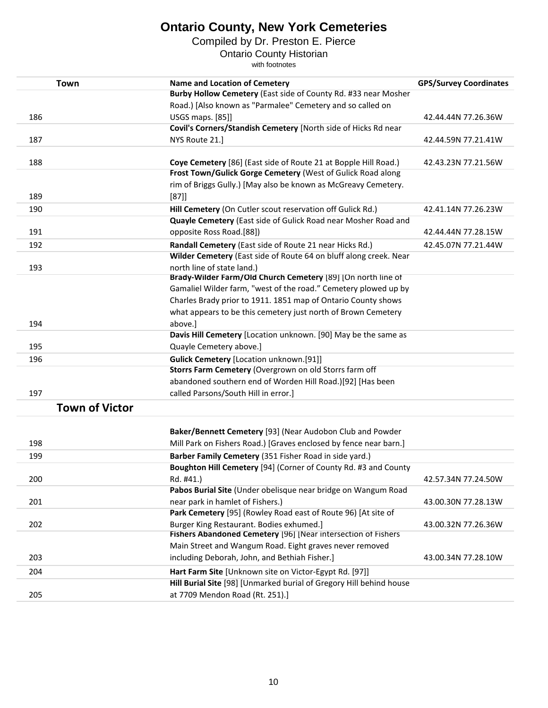Compiled by Dr. Preston E. Pierce

Ontario County Historian

| <b>Town</b>                                   | <b>Name and Location of Cemetery</b>                                                                                                                                                                                                                                                                                                                                                                                                                                                                                                                                                                                                                                                                                                                                                                                                                                                                                                                                                                                         | <b>GPS/Survey Coordinates</b>                                     |
|-----------------------------------------------|------------------------------------------------------------------------------------------------------------------------------------------------------------------------------------------------------------------------------------------------------------------------------------------------------------------------------------------------------------------------------------------------------------------------------------------------------------------------------------------------------------------------------------------------------------------------------------------------------------------------------------------------------------------------------------------------------------------------------------------------------------------------------------------------------------------------------------------------------------------------------------------------------------------------------------------------------------------------------------------------------------------------------|-------------------------------------------------------------------|
|                                               | Burby Hollow Cemetery (East side of County Rd. #33 near Mosher                                                                                                                                                                                                                                                                                                                                                                                                                                                                                                                                                                                                                                                                                                                                                                                                                                                                                                                                                               |                                                                   |
|                                               | Road.) [Also known as "Parmalee" Cemetery and so called on                                                                                                                                                                                                                                                                                                                                                                                                                                                                                                                                                                                                                                                                                                                                                                                                                                                                                                                                                                   |                                                                   |
| 186                                           | USGS maps. [85]]                                                                                                                                                                                                                                                                                                                                                                                                                                                                                                                                                                                                                                                                                                                                                                                                                                                                                                                                                                                                             | 42.44.44N 77.26.36W                                               |
|                                               | Covil's Corners/Standish Cemetery [North side of Hicks Rd near                                                                                                                                                                                                                                                                                                                                                                                                                                                                                                                                                                                                                                                                                                                                                                                                                                                                                                                                                               |                                                                   |
| 187                                           | NYS Route 21.]                                                                                                                                                                                                                                                                                                                                                                                                                                                                                                                                                                                                                                                                                                                                                                                                                                                                                                                                                                                                               | 42.44.59N 77.21.41W                                               |
|                                               |                                                                                                                                                                                                                                                                                                                                                                                                                                                                                                                                                                                                                                                                                                                                                                                                                                                                                                                                                                                                                              |                                                                   |
| 188                                           | Coye Cemetery [86] (East side of Route 21 at Bopple Hill Road.)                                                                                                                                                                                                                                                                                                                                                                                                                                                                                                                                                                                                                                                                                                                                                                                                                                                                                                                                                              | 42.43.23N 77.21.56W                                               |
|                                               | Frost Town/Gulick Gorge Cemetery (West of Gulick Road along                                                                                                                                                                                                                                                                                                                                                                                                                                                                                                                                                                                                                                                                                                                                                                                                                                                                                                                                                                  |                                                                   |
|                                               | rim of Briggs Gully.) [May also be known as McGreavy Cemetery.                                                                                                                                                                                                                                                                                                                                                                                                                                                                                                                                                                                                                                                                                                                                                                                                                                                                                                                                                               |                                                                   |
| 189                                           | $[87]$                                                                                                                                                                                                                                                                                                                                                                                                                                                                                                                                                                                                                                                                                                                                                                                                                                                                                                                                                                                                                       |                                                                   |
| 190                                           | Hill Cemetery (On Cutler scout reservation off Gulick Rd.)                                                                                                                                                                                                                                                                                                                                                                                                                                                                                                                                                                                                                                                                                                                                                                                                                                                                                                                                                                   | 42.41.14N 77.26.23W                                               |
|                                               | Quayle Cemetery (East side of Gulick Road near Mosher Road and                                                                                                                                                                                                                                                                                                                                                                                                                                                                                                                                                                                                                                                                                                                                                                                                                                                                                                                                                               |                                                                   |
| 191                                           | opposite Ross Road.[88])                                                                                                                                                                                                                                                                                                                                                                                                                                                                                                                                                                                                                                                                                                                                                                                                                                                                                                                                                                                                     | 42.44.44N 77.28.15W                                               |
| 192                                           | Randall Cemetery (East side of Route 21 near Hicks Rd.)                                                                                                                                                                                                                                                                                                                                                                                                                                                                                                                                                                                                                                                                                                                                                                                                                                                                                                                                                                      | 42.45.07N 77.21.44W                                               |
|                                               | Wilder Cemetery (East side of Route 64 on bluff along creek. Near                                                                                                                                                                                                                                                                                                                                                                                                                                                                                                                                                                                                                                                                                                                                                                                                                                                                                                                                                            |                                                                   |
| 193                                           | north line of state land.)                                                                                                                                                                                                                                                                                                                                                                                                                                                                                                                                                                                                                                                                                                                                                                                                                                                                                                                                                                                                   |                                                                   |
|                                               |                                                                                                                                                                                                                                                                                                                                                                                                                                                                                                                                                                                                                                                                                                                                                                                                                                                                                                                                                                                                                              |                                                                   |
|                                               |                                                                                                                                                                                                                                                                                                                                                                                                                                                                                                                                                                                                                                                                                                                                                                                                                                                                                                                                                                                                                              |                                                                   |
|                                               |                                                                                                                                                                                                                                                                                                                                                                                                                                                                                                                                                                                                                                                                                                                                                                                                                                                                                                                                                                                                                              |                                                                   |
|                                               |                                                                                                                                                                                                                                                                                                                                                                                                                                                                                                                                                                                                                                                                                                                                                                                                                                                                                                                                                                                                                              |                                                                   |
| 194                                           | above.]                                                                                                                                                                                                                                                                                                                                                                                                                                                                                                                                                                                                                                                                                                                                                                                                                                                                                                                                                                                                                      |                                                                   |
|                                               |                                                                                                                                                                                                                                                                                                                                                                                                                                                                                                                                                                                                                                                                                                                                                                                                                                                                                                                                                                                                                              |                                                                   |
|                                               |                                                                                                                                                                                                                                                                                                                                                                                                                                                                                                                                                                                                                                                                                                                                                                                                                                                                                                                                                                                                                              |                                                                   |
| 196                                           | <b>Gulick Cemetery [Location unknown.[91]]</b>                                                                                                                                                                                                                                                                                                                                                                                                                                                                                                                                                                                                                                                                                                                                                                                                                                                                                                                                                                               |                                                                   |
|                                               |                                                                                                                                                                                                                                                                                                                                                                                                                                                                                                                                                                                                                                                                                                                                                                                                                                                                                                                                                                                                                              |                                                                   |
|                                               |                                                                                                                                                                                                                                                                                                                                                                                                                                                                                                                                                                                                                                                                                                                                                                                                                                                                                                                                                                                                                              |                                                                   |
|                                               |                                                                                                                                                                                                                                                                                                                                                                                                                                                                                                                                                                                                                                                                                                                                                                                                                                                                                                                                                                                                                              |                                                                   |
| <b>Town of Victor</b>                         |                                                                                                                                                                                                                                                                                                                                                                                                                                                                                                                                                                                                                                                                                                                                                                                                                                                                                                                                                                                                                              |                                                                   |
|                                               |                                                                                                                                                                                                                                                                                                                                                                                                                                                                                                                                                                                                                                                                                                                                                                                                                                                                                                                                                                                                                              |                                                                   |
|                                               |                                                                                                                                                                                                                                                                                                                                                                                                                                                                                                                                                                                                                                                                                                                                                                                                                                                                                                                                                                                                                              |                                                                   |
|                                               |                                                                                                                                                                                                                                                                                                                                                                                                                                                                                                                                                                                                                                                                                                                                                                                                                                                                                                                                                                                                                              |                                                                   |
|                                               |                                                                                                                                                                                                                                                                                                                                                                                                                                                                                                                                                                                                                                                                                                                                                                                                                                                                                                                                                                                                                              |                                                                   |
|                                               |                                                                                                                                                                                                                                                                                                                                                                                                                                                                                                                                                                                                                                                                                                                                                                                                                                                                                                                                                                                                                              |                                                                   |
|                                               |                                                                                                                                                                                                                                                                                                                                                                                                                                                                                                                                                                                                                                                                                                                                                                                                                                                                                                                                                                                                                              |                                                                   |
|                                               |                                                                                                                                                                                                                                                                                                                                                                                                                                                                                                                                                                                                                                                                                                                                                                                                                                                                                                                                                                                                                              |                                                                   |
|                                               |                                                                                                                                                                                                                                                                                                                                                                                                                                                                                                                                                                                                                                                                                                                                                                                                                                                                                                                                                                                                                              |                                                                   |
|                                               |                                                                                                                                                                                                                                                                                                                                                                                                                                                                                                                                                                                                                                                                                                                                                                                                                                                                                                                                                                                                                              |                                                                   |
|                                               | Fishers Abandoned Cemetery [96] [Near intersection of Fishers                                                                                                                                                                                                                                                                                                                                                                                                                                                                                                                                                                                                                                                                                                                                                                                                                                                                                                                                                                |                                                                   |
|                                               | Main Street and Wangum Road. Eight graves never removed                                                                                                                                                                                                                                                                                                                                                                                                                                                                                                                                                                                                                                                                                                                                                                                                                                                                                                                                                                      |                                                                   |
| 203                                           | including Deborah, John, and Bethiah Fisher.]                                                                                                                                                                                                                                                                                                                                                                                                                                                                                                                                                                                                                                                                                                                                                                                                                                                                                                                                                                                | 43.00.34N 77.28.10W                                               |
| 204                                           | Hart Farm Site [Unknown site on Victor-Egypt Rd. [97]]                                                                                                                                                                                                                                                                                                                                                                                                                                                                                                                                                                                                                                                                                                                                                                                                                                                                                                                                                                       |                                                                   |
|                                               | Hill Burial Site [98] [Unmarked burial of Gregory Hill behind house                                                                                                                                                                                                                                                                                                                                                                                                                                                                                                                                                                                                                                                                                                                                                                                                                                                                                                                                                          |                                                                   |
| 205                                           | at 7709 Mendon Road (Rt. 251).]                                                                                                                                                                                                                                                                                                                                                                                                                                                                                                                                                                                                                                                                                                                                                                                                                                                                                                                                                                                              |                                                                   |
| 195<br>197<br>198<br>199<br>200<br>201<br>202 | Brady-Wilder Farm/Old Church Cemetery [89] [On north line of<br>Gamaliel Wilder farm, "west of the road." Cemetery plowed up by<br>Charles Brady prior to 1911. 1851 map of Ontario County shows<br>what appears to be this cemetery just north of Brown Cemetery<br>Davis Hill Cemetery [Location unknown. [90] May be the same as<br>Quayle Cemetery above.]<br>Storrs Farm Cemetery (Overgrown on old Storrs farm off<br>abandoned southern end of Worden Hill Road.)[92] [Has been<br>called Parsons/South Hill in error.]<br>Baker/Bennett Cemetery [93] (Near Audobon Club and Powder<br>Mill Park on Fishers Road.) [Graves enclosed by fence near barn.]<br>Barber Family Cemetery (351 Fisher Road in side yard.)<br>Boughton Hill Cemetery [94] (Corner of County Rd. #3 and County<br>Rd. #41.)<br>Pabos Burial Site (Under obelisque near bridge on Wangum Road<br>near park in hamlet of Fishers.)<br>Park Cemetery [95] (Rowley Road east of Route 96) [At site of<br>Burger King Restaurant. Bodies exhumed.] | 42.57.34N 77.24.50W<br>43.00.30N 77.28.13W<br>43.00.32N 77.26.36W |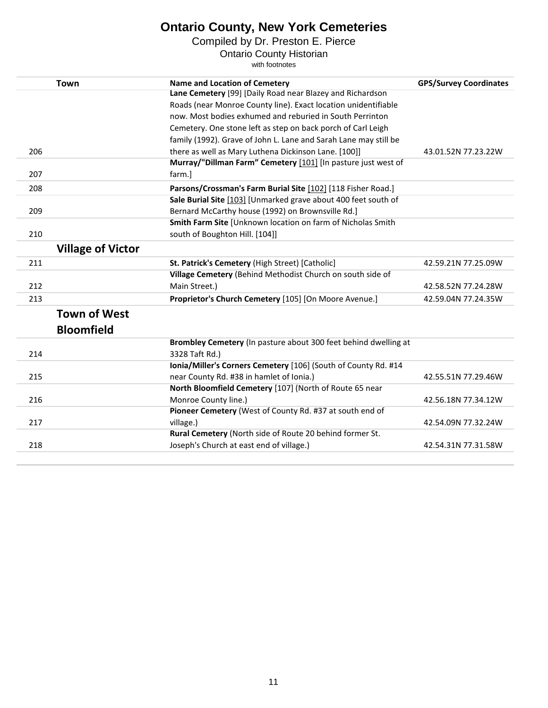Compiled by Dr. Preston E. Pierce

Ontario County Historian

|     | <b>Town</b>              | <b>Name and Location of Cemetery</b>                             | <b>GPS/Survey Coordinates</b> |
|-----|--------------------------|------------------------------------------------------------------|-------------------------------|
|     |                          | Lane Cemetery [99] [Daily Road near Blazey and Richardson        |                               |
|     |                          | Roads (near Monroe County line). Exact location unidentifiable   |                               |
|     |                          | now. Most bodies exhumed and reburied in South Perrinton         |                               |
|     |                          | Cemetery. One stone left as step on back porch of Carl Leigh     |                               |
|     |                          | family (1992). Grave of John L. Lane and Sarah Lane may still be |                               |
| 206 |                          | there as well as Mary Luthena Dickinson Lane. [100]]             | 43.01.52N 77.23.22W           |
|     |                          | Murray/"Dillman Farm" Cemetery [101] [In pasture just west of    |                               |
| 207 |                          | farm.]                                                           |                               |
| 208 |                          | Parsons/Crossman's Farm Burial Site [102] [118 Fisher Road.]     |                               |
|     |                          | Sale Burial Site [103] [Unmarked grave about 400 feet south of   |                               |
| 209 |                          | Bernard McCarthy house (1992) on Brownsville Rd.]                |                               |
|     |                          | Smith Farm Site [Unknown location on farm of Nicholas Smith      |                               |
| 210 |                          | south of Boughton Hill. [104]]                                   |                               |
|     | <b>Village of Victor</b> |                                                                  |                               |
| 211 |                          | St. Patrick's Cemetery (High Street) [Catholic]                  | 42.59.21N 77.25.09W           |
|     |                          | Village Cemetery (Behind Methodist Church on south side of       |                               |
| 212 |                          | Main Street.)                                                    | 42.58.52N 77.24.28W           |
| 213 |                          | Proprietor's Church Cemetery [105] [On Moore Avenue.]            | 42.59.04N 77.24.35W           |
|     | <b>Town of West</b>      |                                                                  |                               |
|     | <b>Bloomfield</b>        |                                                                  |                               |
|     |                          | Brombley Cemetery (In pasture about 300 feet behind dwelling at  |                               |
| 214 |                          | 3328 Taft Rd.)                                                   |                               |
|     |                          | Ionia/Miller's Corners Cemetery [106] (South of County Rd. #14   |                               |
| 215 |                          | near County Rd. #38 in hamlet of Ionia.)                         | 42.55.51N 77.29.46W           |
|     |                          | North Bloomfield Cemetery [107] (North of Route 65 near          |                               |
| 216 |                          | Monroe County line.)                                             | 42.56.18N 77.34.12W           |
|     |                          | Pioneer Cemetery (West of County Rd. #37 at south end of         |                               |
| 217 |                          | village.)                                                        | 42.54.09N 77.32.24W           |
|     |                          | Rural Cemetery (North side of Route 20 behind former St.         |                               |
| 218 |                          | Joseph's Church at east end of village.)                         | 42.54.31N 77.31.58W           |
|     |                          |                                                                  |                               |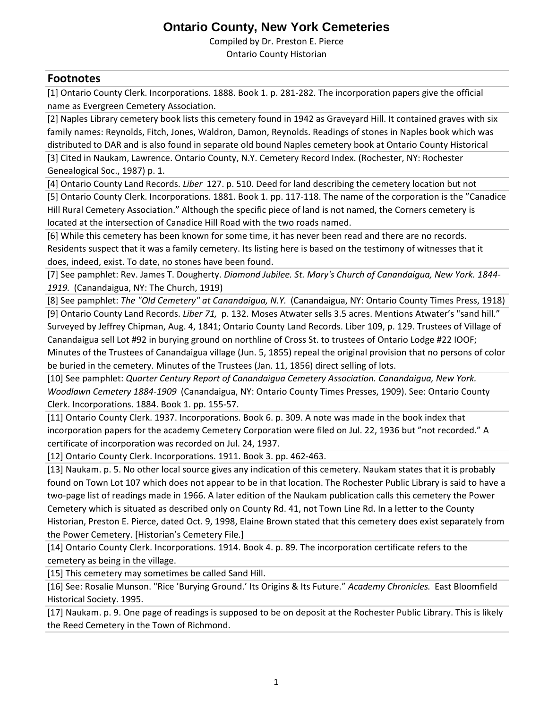Compiled by Dr. Preston E. Pierce

Ontario County Historian

#### **Footnotes**

[1] Ontario County Clerk. Incorporations. 1888. Book 1. p. 281-282. The incorporation papers give the official name as Evergreen Cemetery Association.

[2] Naples Library cemetery book lists this cemetery found in 1942 as Graveyard Hill. It contained graves with six family names: Reynolds, Fitch, Jones, Waldron, Damon, Reynolds. Readings of stones in Naples book which was distributed to DAR and is also found in separate old bound Naples cemetery book at Ontario County Historical

[3] Cited in Naukam, Lawrence. Ontario County, N.Y. Cemetery Record Index. (Rochester, NY: Rochester Genealogical Soc., 1987) p. 1.

[4] Ontario County Land Records. *Liber* 127. p. 510. Deed for land describing the cemetery location but not

[5] Ontario County Clerk. Incorporations. 1881. Book 1. pp. 117-118. The name of the corporation is the "Canadice Hill Rural Cemetery Association." Although the specific piece of land is not named, the Corners cemetery is located at the intersection of Canadice Hill Road with the two roads named.

[6] While this cemetery has been known for some time, it has never been read and there are no records. Residents suspect that it was a family cemetery. Its listing here is based on the testimony of witnesses that it does, indeed, exist. To date, no stones have been found.

[7] See pamphlet: Rev. James T. Dougherty. *Diamond Jubilee. St. Mary's Church of Canandaigua, New York. 1844- 1919.* (Canandaigua, NY: The Church, 1919)

[8] See pamphlet: *The "Old Cemetery" at Canandaigua, N.Y.* (Canandaigua, NY: Ontario County Times Press, 1918)

[9] Ontario County Land Records. *Liber 71,* p. 132. Moses Atwater sells 3.5 acres. Mentions Atwater's "sand hill." Surveyed by Jeffrey Chipman, Aug. 4, 1841; Ontario County Land Records. Liber 109, p. 129. Trustees of Village of Canandaigua sell Lot #92 in burying ground on northline of Cross St. to trustees of Ontario Lodge #22 IOOF; Minutes of the Trustees of Canandaigua village (Jun. 5, 1855) repeal the original provision that no persons of color be buried in the cemetery. Minutes of the Trustees (Jan. 11, 1856) direct selling of lots.

[10] See pamphlet: *Quarter Century Report of Canandaigua Cemetery Association. Canandaigua, New York. Woodlawn Cemetery 1884-1909* (Canandaigua, NY: Ontario County Times Presses, 1909). See: Ontario County Clerk. Incorporations. 1884. Book 1. pp. 155-57.

[11] Ontario County Clerk. 1937. Incorporations. Book 6. p. 309. A note was made in the book index that incorporation papers for the academy Cemetery Corporation were filed on Jul. 22, 1936 but "not recorded." A certificate of incorporation was recorded on Jul. 24, 1937.

[12] Ontario County Clerk. Incorporations. 1911. Book 3. pp. 462-463.

[13] Naukam. p. 5. No other local source gives any indication of this cemetery. Naukam states that it is probably found on Town Lot 107 which does not appear to be in that location. The Rochester Public Library is said to have a two-page list of readings made in 1966. A later edition of the Naukam publication calls this cemetery the Power Cemetery which is situated as described only on County Rd. 41, not Town Line Rd. In a letter to the County Historian, Preston E. Pierce, dated Oct. 9, 1998, Elaine Brown stated that this cemetery does exist separately from the Power Cemetery. [Historian's Cemetery File.]

[14] Ontario County Clerk. Incorporations. 1914. Book 4. p. 89. The incorporation certificate refers to the cemetery as being in the village.

[15] This cemetery may sometimes be called Sand Hill.

[16] See: Rosalie Munson. "Rice 'Burying Ground.' Its Origins & Its Future." *Academy Chronicles.* East Bloomfield Historical Society. 1995.

[17] Naukam. p. 9. One page of readings is supposed to be on deposit at the Rochester Public Library. This is likely the Reed Cemetery in the Town of Richmond.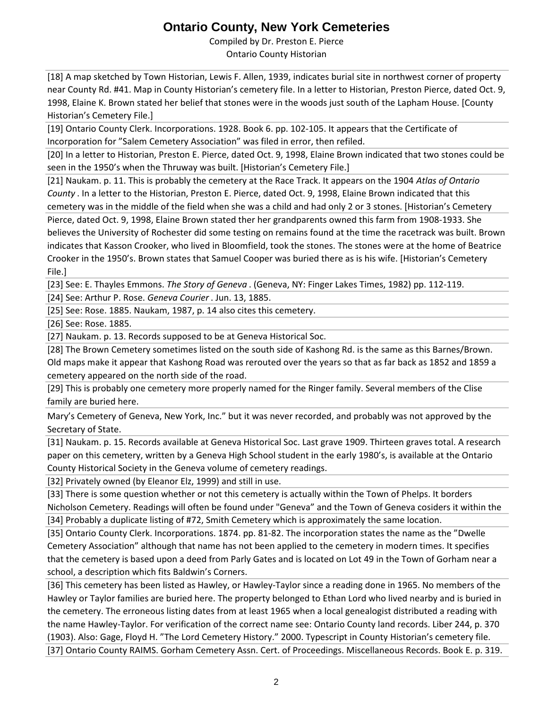Compiled by Dr. Preston E. Pierce Ontario County Historian

[18] A map sketched by Town Historian, Lewis F. Allen, 1939, indicates burial site in northwest corner of property near County Rd. #41. Map in County Historian's cemetery file. In a letter to Historian, Preston Pierce, dated Oct. 9, 1998, Elaine K. Brown stated her belief that stones were in the woods just south of the Lapham House. [County Historian's Cemetery File.]

[19] Ontario County Clerk. Incorporations. 1928. Book 6. pp. 102-105. It appears that the Certificate of Incorporation for "Salem Cemetery Association" was filed in error, then refiled.

[20] In a letter to Historian, Preston E. Pierce, dated Oct. 9, 1998, Elaine Brown indicated that two stones could be seen in the 1950's when the Thruway was built. [Historian's Cemetery File.]

[21] Naukam. p. 11. This is probably the cemetery at the Race Track. It appears on the 1904 *Atlas of Ontario County* . In a letter to the Historian, Preston E. Pierce, dated Oct. 9, 1998, Elaine Brown indicated that this cemetery was in the middle of the field when she was a child and had only 2 or 3 stones. [Historian's Cemetery Pierce, dated Oct. 9, 1998, Elaine Brown stated ther her grandparents owned this farm from 1908-1933. She believes the University of Rochester did some testing on remains found at the time the racetrack was built. Brown indicates that Kasson Crooker, who lived in Bloomfield, took the stones. The stones were at the home of Beatrice Crooker in the 1950's. Brown states that Samuel Cooper was buried there as is his wife. [Historian's Cemetery File.]

[23] See: E. Thayles Emmons. *The Story of Geneva* . (Geneva, NY: Finger Lakes Times, 1982) pp. 112-119.

[24] See: Arthur P. Rose. *Geneva Courier* . Jun. 13, 1885.

[25] See: Rose. 1885. Naukam, 1987, p. 14 also cites this cemetery.

[26] See: Rose. 1885.

[27] Naukam. p. 13. Records supposed to be at Geneva Historical Soc.

[28] The Brown Cemetery sometimes listed on the south side of Kashong Rd. is the same as this Barnes/Brown. Old maps make it appear that Kashong Road was rerouted over the years so that as far back as 1852 and 1859 a cemetery appeared on the north side of the road.

[29] This is probably one cemetery more properly named for the Ringer family. Several members of the Clise family are buried here.

Mary's Cemetery of Geneva, New York, Inc." but it was never recorded, and probably was not approved by the Secretary of State.

[31] Naukam. p. 15. Records available at Geneva Historical Soc. Last grave 1909. Thirteen graves total. A research paper on this cemetery, written by a Geneva High School student in the early 1980's, is available at the Ontario County Historical Society in the Geneva volume of cemetery readings.

[32] Privately owned (by Eleanor Elz, 1999) and still in use.

[33] There is some question whether or not this cemetery is actually within the Town of Phelps. It borders Nicholson Cemetery. Readings will often be found under "Geneva" and the Town of Geneva cosiders it within the

[34] Probably a duplicate listing of #72, Smith Cemetery which is approximately the same location.

[35] Ontario County Clerk. Incorporations. 1874. pp. 81-82. The incorporation states the name as the "Dwelle Cemetery Association" although that name has not been applied to the cemetery in modern times. It specifies that the cemetery is based upon a deed from Parly Gates and is located on Lot 49 in the Town of Gorham near a school, a description which fits Baldwin's Corners.

[36] This cemetery has been listed as Hawley, or Hawley-Taylor since a reading done in 1965. No members of the Hawley or Taylor families are buried here. The property belonged to Ethan Lord who lived nearby and is buried in the cemetery. The erroneous listing dates from at least 1965 when a local genealogist distributed a reading with the name Hawley-Taylor. For verification of the correct name see: Ontario County land records. Liber 244, p. 370 (1903). Also: Gage, Floyd H. "The Lord Cemetery History." 2000. Typescript in County Historian's cemetery file. [37] Ontario County RAIMS. Gorham Cemetery Assn. Cert. of Proceedings. Miscellaneous Records. Book E. p. 319.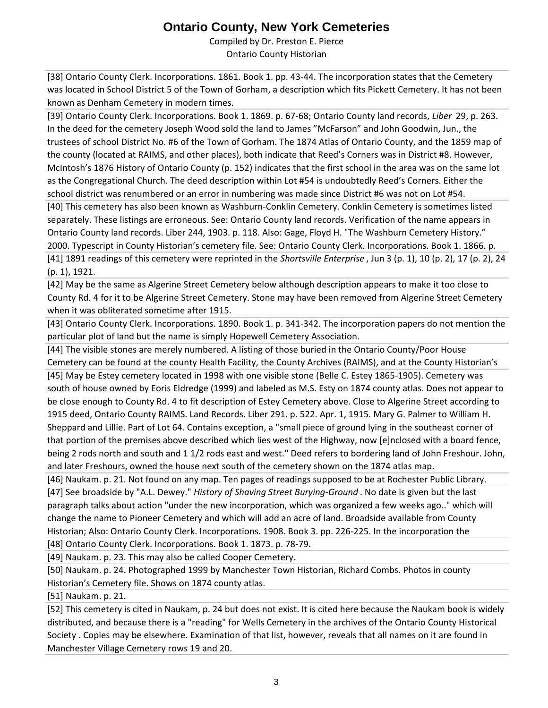Compiled by Dr. Preston E. Pierce Ontario County Historian

[38] Ontario County Clerk. Incorporations. 1861. Book 1. pp. 43-44. The incorporation states that the Cemetery was located in School District 5 of the Town of Gorham, a description which fits Pickett Cemetery. It has not been known as Denham Cemetery in modern times.

[39] Ontario County Clerk. Incorporations. Book 1. 1869. p. 67-68; Ontario County land records, *Liber* 29, p. 263. In the deed for the cemetery Joseph Wood sold the land to James "McFarson" and John Goodwin, Jun., the trustees of school District No. #6 of the Town of Gorham. The 1874 Atlas of Ontario County, and the 1859 map of the county (located at RAIMS, and other places), both indicate that Reed's Corners was in District #8. However, McIntosh's 1876 History of Ontario County (p. 152) indicates that the first school in the area was on the same lot as the Congregational Church. The deed description within Lot #54 is undoubtedly Reed's Corners. Either the school district was renumbered or an error in numbering was made since District #6 was not on Lot #54.

[40] This cemetery has also been known as Washburn-Conklin Cemetery. Conklin Cemetery is sometimes listed separately. These listings are erroneous. See: Ontario County land records. Verification of the name appears in Ontario County land records. Liber 244, 1903. p. 118. Also: Gage, Floyd H. "The Washburn Cemetery History." 2000. Typescript in County Historian's cemetery file. See: Ontario County Clerk. Incorporations. Book 1. 1866. p. [41] 1891 readings of this cemetery were reprinted in the *Shortsville Enterprise* , Jun 3 (p. 1), 10 (p. 2), 17 (p. 2), 24 (p. 1), 1921.

[42] May be the same as Algerine Street Cemetery below although description appears to make it too close to County Rd. 4 for it to be Algerine Street Cemetery. Stone may have been removed from Algerine Street Cemetery when it was obliterated sometime after 1915.

[43] Ontario County Clerk. Incorporations. 1890. Book 1. p. 341-342. The incorporation papers do not mention the particular plot of land but the name is simply Hopewell Cemetery Association.

[44] The visible stones are merely numbered. A listing of those buried in the Ontario County/Poor House Cemetery can be found at the county Health Facility, the County Archives (RAIMS), and at the County Historian's

[45] May be Estey cemetery located in 1998 with one visible stone (Belle C. Estey 1865-1905). Cemetery was south of house owned by Eoris Eldredge (1999) and labeled as M.S. Esty on 1874 county atlas. Does not appear to be close enough to County Rd. 4 to fit description of Estey Cemetery above. Close to Algerine Street according to 1915 deed, Ontario County RAIMS. Land Records. Liber 291. p. 522. Apr. 1, 1915. Mary G. Palmer to William H. Sheppard and Lillie. Part of Lot 64. Contains exception, a "small piece of ground lying in the southeast corner of that portion of the premises above described which lies west of the Highway, now [e]nclosed with a board fence, being 2 rods north and south and 1 1/2 rods east and west." Deed refers to bordering land of John Freshour. John, and later Freshours, owned the house next south of the cemetery shown on the 1874 atlas map.

[46] Naukam. p. 21. Not found on any map. Ten pages of readings supposed to be at Rochester Public Library. [47] See broadside by "A.L. Dewey." *History of Shaving Street Burying-Ground* . No date is given but the last paragraph talks about action "under the new incorporation, which was organized a few weeks ago.." which will change the name to Pioneer Cemetery and which will add an acre of land. Broadside available from County Historian; Also: Ontario County Clerk. Incorporations. 1908. Book 3. pp. 226-225. In the incorporation the

[48] Ontario County Clerk. Incorporations. Book 1. 1873. p. 78-79.

[49] Naukam. p. 23. This may also be called Cooper Cemetery.

[50] Naukam. p. 24. Photographed 1999 by Manchester Town Historian, Richard Combs. Photos in county Historian's Cemetery file. Shows on 1874 county atlas.

[51] Naukam. p. 21.

[52] This cemetery is cited in Naukam, p. 24 but does not exist. It is cited here because the Naukam book is widely distributed, and because there is a "reading" for Wells Cemetery in the archives of the Ontario County Historical Society . Copies may be elsewhere. Examination of that list, however, reveals that all names on it are found in Manchester Village Cemetery rows 19 and 20.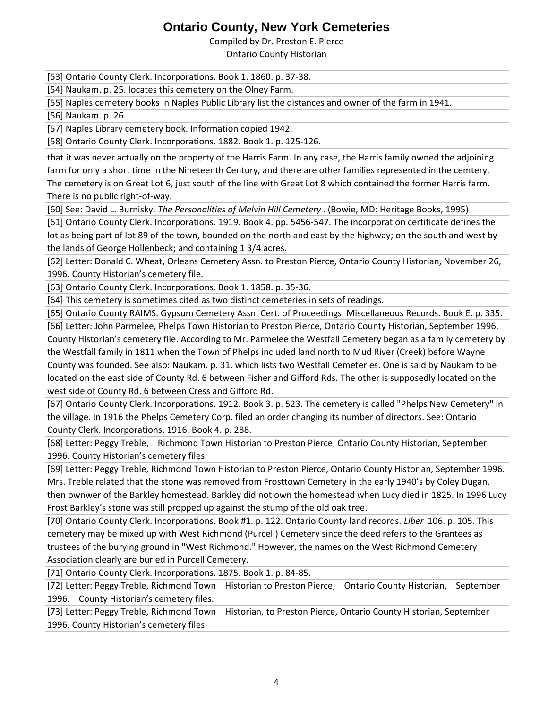Compiled by Dr. Preston E. Pierce

Ontario County Historian

[53] Ontario County Clerk. Incorporations. Book 1. 1860. p. 37-38.

[54] Naukam. p. 25. locates this cemetery on the Olney Farm.

[55] Naples cemetery books in Naples Public Library list the distances and owner of the farm in 1941.

[56] Naukam. p. 26.

[57] Naples Library cemetery book. Information copied 1942.

[58] Ontario County Clerk. Incorporations. 1882. Book 1. p. 125-126.

that it was never actually on the property of the Harris Farm. In any case, the Harris family owned the adjoining farm for only a short time in the Nineteenth Century, and there are other families represented in the cemtery. The cemetery is on Great Lot 6, just south of the line with Great Lot 8 which contained the former Harris farm. There is no public right-of-way.

[60] See: David L. Burnisky. *The Personalities of Melvin Hill Cemetery* . (Bowie, MD: Heritage Books, 1995)

[61] Ontario County Clerk. Incorporations. 1919. Book 4. pp. 5456-547. The incorporation certificate defines the lot as being part of lot 89 of the town, bounded on the north and east by the highway; on the south and west by the lands of George Hollenbeck; and containing 1 3/4 acres.

[62] Letter: Donald C. Wheat, Orleans Cemetery Assn. to Preston Pierce, Ontario County Historian, November 26, 1996. County Historian's cemetery file.

[63] Ontario County Clerk. Incorporations. Book 1. 1858. p. 35-36.

[64] This cemetery is sometimes cited as two distinct cemeteries in sets of readings.

[65] Ontario County RAIMS. Gypsum Cemetery Assn. Cert. of Proceedings. Miscellaneous Records. Book E. p. 335.

[66] Letter: John Parmelee, Phelps Town Historian to Preston Pierce, Ontario County Historian, September 1996. County Historian's cemetery file. According to Mr. Parmelee the Westfall Cemetery began as a family cemetery by the Westfall family in 1811 when the Town of Phelps included land north to Mud River (Creek) before Wayne County was founded. See also: Naukam. p. 31. which lists two Westfall Cemeteries. One is said by Naukam to be located on the east side of County Rd. 6 between Fisher and Gifford Rds. The other is supposedly located on the west side of County Rd. 6 between Cress and Gifford Rd.

[67] Ontario County Clerk. Incorporations. 1912. Book 3. p. 523. The cemetery is called "Phelps New Cemetery" in the village. In 1916 the Phelps Cemetery Corp. filed an order changing its number of directors. See: Ontario County Clerk. Incorporations. 1916. Book 4. p. 288.

[68] Letter: Peggy Treble, Richmond Town Historian to Preston Pierce, Ontario County Historian, September 1996. County Historian's cemetery files.

[69] Letter: Peggy Treble, Richmond Town Historian to Preston Pierce, Ontario County Historian, September 1996. Mrs. Treble related that the stone was removed from Frosttown Cemetery in the early 1940's by Coley Dugan, then ownwer of the Barkley homestead. Barkley did not own the homestead when Lucy died in 1825. In 1996 Lucy Frost Barkley's stone was still propped up against the stump of the old oak tree.

[70] Ontario County Clerk. Incorporations. Book #1. p. 122. Ontario County land records. *Liber* 106. p. 105. This cemetery may be mixed up with West Richmond (Purcell) Cemetery since the deed refers to the Grantees as trustees of the burying ground in "West Richmond." However, the names on the West Richmond Cemetery Association clearly are buried in Purcell Cemetery.

[71] Ontario County Clerk. Incorporations. 1875. Book 1. p. 84-85.

[72] Letter: Peggy Treble, Richmond Town Historian to Preston Pierce, Ontario County Historian, September 1996. County Historian's cemetery files.

[73] Letter: Peggy Treble, Richmond Town Historian, to Preston Pierce, Ontario County Historian, September 1996. County Historian's cemetery files.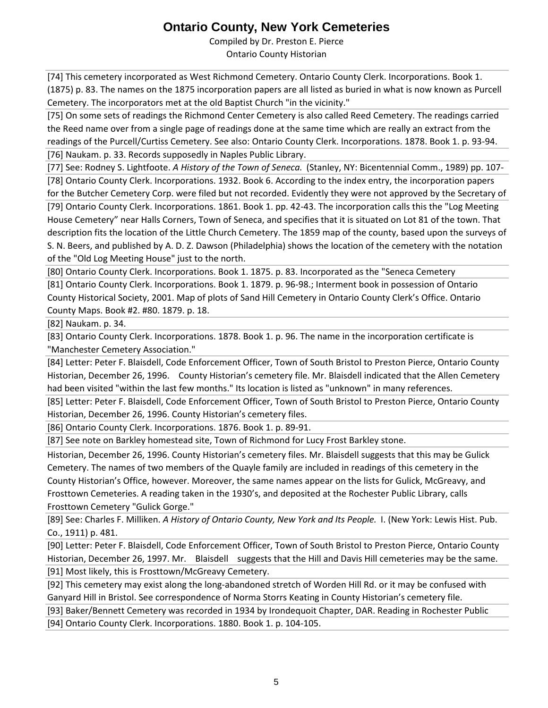Compiled by Dr. Preston E. Pierce Ontario County Historian

[74] This cemetery incorporated as West Richmond Cemetery. Ontario County Clerk. Incorporations. Book 1. (1875) p. 83. The names on the 1875 incorporation papers are all listed as buried in what is now known as Purcell Cemetery. The incorporators met at the old Baptist Church "in the vicinity."

[75] On some sets of readings the Richmond Center Cemetery is also called Reed Cemetery. The readings carried the Reed name over from a single page of readings done at the same time which are really an extract from the readings of the Purcell/Curtiss Cemetery. See also: Ontario County Clerk. Incorporations. 1878. Book 1. p. 93-94. [76] Naukam. p. 33. Records supposedly in Naples Public Library.

[77] See: Rodney S. Lightfoote. *A History of the Town of Seneca.* (Stanley, NY: Bicentennial Comm., 1989) pp. 107- [78] Ontario County Clerk. Incorporations. 1932. Book 6. According to the index entry, the incorporation papers for the Butcher Cemetery Corp. were filed but not recorded. Evidently they were not approved by the Secretary of

[79] Ontario County Clerk. Incorporations. 1861. Book 1. pp. 42-43. The incorporation calls this the "Log Meeting House Cemetery" near Halls Corners, Town of Seneca, and specifies that it is situated on Lot 81 of the town. That description fits the location of the Little Church Cemetery. The 1859 map of the county, based upon the surveys of S. N. Beers, and published by A. D. Z. Dawson (Philadelphia) shows the location of the cemetery with the notation of the "Old Log Meeting House" just to the north.

[80] Ontario County Clerk. Incorporations. Book 1. 1875. p. 83. Incorporated as the "Seneca Cemetery

[81] Ontario County Clerk. Incorporations. Book 1. 1879. p. 96-98.; Interment book in possession of Ontario County Historical Society, 2001. Map of plots of Sand Hill Cemetery in Ontario County Clerk's Office. Ontario County Maps. Book #2. #80. 1879. p. 18.

[82] Naukam. p. 34.

[83] Ontario County Clerk. Incorporations. 1878. Book 1. p. 96. The name in the incorporation certificate is "Manchester Cemetery Association."

[84] Letter: Peter F. Blaisdell, Code Enforcement Officer, Town of South Bristol to Preston Pierce, Ontario County Historian, December 26, 1996. County Historian's cemetery file. Mr. Blaisdell indicated that the Allen Cemetery had been visited "within the last few months." Its location is listed as "unknown" in many references.

[85] Letter: Peter F. Blaisdell, Code Enforcement Officer, Town of South Bristol to Preston Pierce, Ontario County Historian, December 26, 1996. County Historian's cemetery files.

[86] Ontario County Clerk. Incorporations. 1876. Book 1. p. 89-91.

[87] See note on Barkley homestead site, Town of Richmond for Lucy Frost Barkley stone.

Historian, December 26, 1996. County Historian's cemetery files. Mr. Blaisdell suggests that this may be Gulick Cemetery. The names of two members of the Quayle family are included in readings of this cemetery in the County Historian's Office, however. Moreover, the same names appear on the lists for Gulick, McGreavy, and Frosttown Cemeteries. A reading taken in the 1930's, and deposited at the Rochester Public Library, calls Frosttown Cemetery "Gulick Gorge."

[89] See: Charles F. Milliken. *A History of Ontario County, New York and Its People.* I. (New York: Lewis Hist. Pub. Co., 1911) p. 481.

[90] Letter: Peter F. Blaisdell, Code Enforcement Officer, Town of South Bristol to Preston Pierce, Ontario County Historian, December 26, 1997. Mr. Blaisdell suggests that the Hill and Davis Hill cemeteries may be the same. [91] Most likely, this is Frosttown/McGreavy Cemetery.

[92] This cemetery may exist along the long-abandoned stretch of Worden Hill Rd. or it may be confused with Ganyard Hill in Bristol. See correspondence of Norma Storrs Keating in County Historian's cemetery file.

[93] Baker/Bennett Cemetery was recorded in 1934 by Irondequoit Chapter, DAR. Reading in Rochester Public

[94] Ontario County Clerk. Incorporations. 1880. Book 1. p. 104-105.